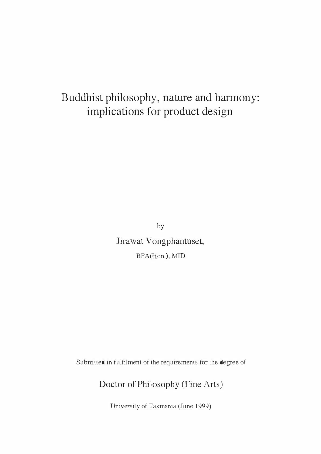# Buddhist philosophy, nature and harmony: implications for product design

by Jirawat Vongphantuset, BFA(Hon.), MID

Submitted in fulfilment of the requirements for the degree of

Doctor of Philosophy (Fine Arts)

University of Tasmania (June 1999)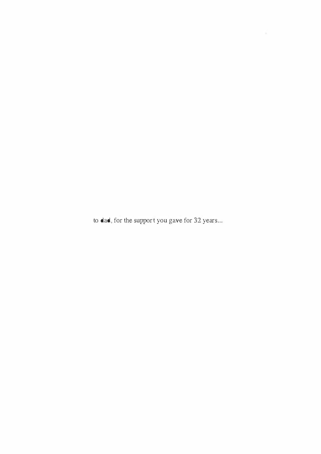to dad, for the support you gave for 32 years...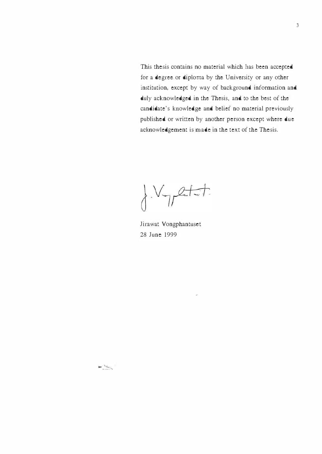This thesis contains no material which has been accepted for a degree or diploma by the University or any other institution, except by way of background information and duly acknowledged in the Thesis, and to the best of the candidate's knowledge and belief no material previously published or written by another person except where due acknowledgement is made in the text of the Thesis.

 $\int V_{\gamma}$ etit

Jirawat Vongphantuset 28 June 1999

 $\begin{picture}(20,20) \put(0,0){\line(1,0){10}} \put(15,0){\line(1,0){10}} \put(15,0){\line(1,0){10}} \put(15,0){\line(1,0){10}} \put(15,0){\line(1,0){10}} \put(15,0){\line(1,0){10}} \put(15,0){\line(1,0){10}} \put(15,0){\line(1,0){10}} \put(15,0){\line(1,0){10}} \put(15,0){\line(1,0){10}} \put(15,0){\line(1,0){10}} \put(15,0){\line(1$ 

 $\mu_{\rm R}$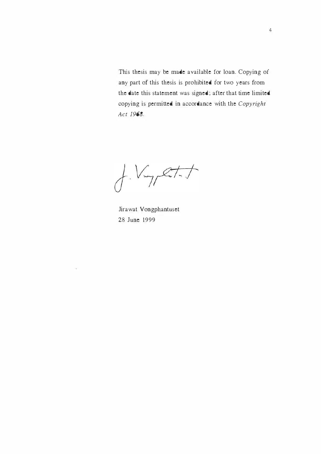This thesis may be made available for loan. Copying of any part of this thesis is prohibited for two years from the date this statement was signed; after that time limited copying is permitted in accordance with the Copyright Act 1968.

 $t.V$ -yet-t

Jira wat Vongphantuset 28 June 1999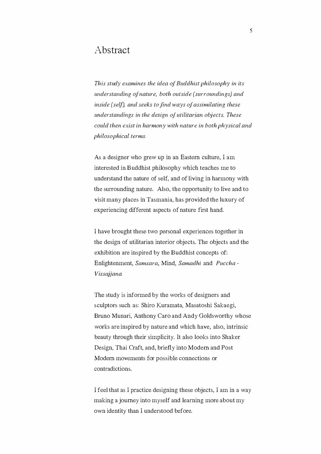#### Abstract

This study examines the idea of Buddhist philosophy in its understanding ofnature, both outside (surroundings) and inside (self), and seeks to find ways of assimilating these understandings in the design of utilitarian objects. These could then exist in harmony with nature in both physical and philosophical terms.

As a designer who grew up in an Eastern culture, I am interested in B uddhist philosophy which teaches me to understand the nature of self, and of living in harmony with the surrounding nature. Also, the opportunity to live and to visit many places in Tasmania, has provided the luxury of experiencing different aspects of nature first hand.

I have brought these two personal experiences together in the design of utilitarian interior objects. The objects and the exhibition are inspired by the Buddhist concepts of: Enlightenment, Samsara, Mind, Samadhi and Puccha - Vissajjana.

The study is informed by the works of designers and sculptors such as: Shiro Kuramata, Masatoshi Sakaegi, Bruno Munari, Anthony Caro and Andy Goldsworthy whose works are inspired by nature and which have, also, intrinsic beauty through their simplicity. It also looks into Shaker Design, Thai Craft, and, briefly into Modern and Post Modern movements for possible connections or contradictions.

I feel that as I practice designing these objects, I am in a way making a journey into myself and learning more about my own identity than I understood before.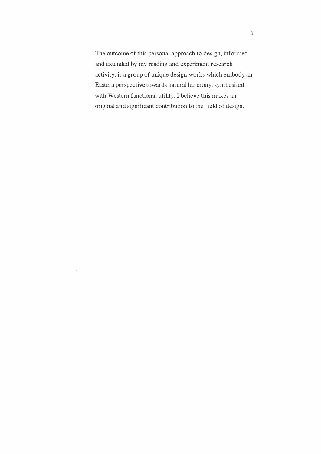The outcome of this personal approach to design, informed and extended by my reading and experiment research activity, is a group of unique design works which embody an Eastern perspective towards natural harmony, synthesised with Western functional utility. I believe this makes an original and significant contribution to the field of design.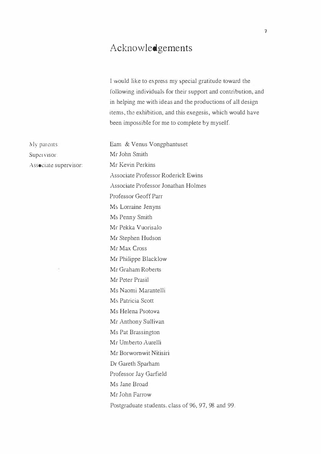### Acknowledgements

I would like to express my special gratitude toward the following individuals for their support and contribution, and in helping me with ideas and the productions of all design items, the exhibition, and this exegesis, which would have been impossible for me to complete by myself.

My parents Supervisor: Associate supervisor:

Eam & Venus Vongphantuset Mr John Smith Mr Kevin Perkins Associate Professor Roderick Ewins Associate Professor Jonathan Holmes Professor Geoff Parr Ms Lorraine Jenyns Ms Penny Smith Mr Pekka Vuorisalo Mr Stephen Hudson Mr Max Cross Mr Philippe Blacklow Mr Graham Roberts Mr Peter Prasil Ms Naomi Marantelli Ms Patricia Scott Ms Helena Psotova Mr Anthony Sullivan Ms Pat Brassington Mr Umberto Aurelli Mr Borwomwit Nitisiri Dr Gareth Sparham Professor Jay Garfield Ms Jane Broad Mr John Farrow Postgraduate students. class of 96, 97, 98 and 99.